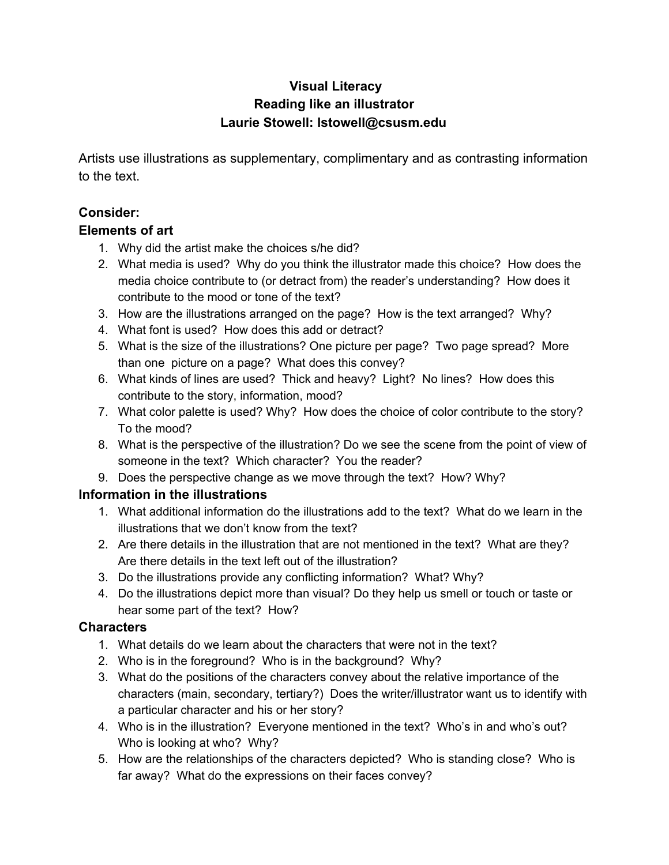# **Visual Literacy Reading like an illustrator Laurie Stowell: lstowell@csusm.edu**

Artists use illustrations as supplementary, complimentary and as contrasting information to the text.

## **Consider:**

#### **Elements of art**

- 1. Why did the artist make the choices s/he did?
- 2. What media is used? Why do you think the illustrator made this choice? How does the media choice contribute to (or detract from) the reader's understanding? How does it contribute to the mood or tone of the text?
- 3. How are the illustrations arranged on the page? How is the text arranged? Why?
- 4. What font is used? How does this add or detract?
- 5. What is the size of the illustrations? One picture per page? Two page spread? More than one picture on a page? What does this convey?
- 6. What kinds of lines are used? Thick and heavy? Light? No lines? How does this contribute to the story, information, mood?
- 7. What color palette is used? Why? How does the choice of color contribute to the story? To the mood?
- 8. What is the perspective of the illustration? Do we see the scene from the point of view of someone in the text? Which character? You the reader?
- 9. Does the perspective change as we move through the text? How? Why?

## **Information in the illustrations**

- 1. What additional information do the illustrations add to the text? What do we learn in the illustrations that we don't know from the text?
- 2. Are there details in the illustration that are not mentioned in the text? What are they? Are there details in the text left out of the illustration?
- 3. Do the illustrations provide any conflicting information? What? Why?
- 4. Do the illustrations depict more than visual? Do they help us smell or touch or taste or hear some part of the text? How?

## **Characters**

- 1. What details do we learn about the characters that were not in the text?
- 2. Who is in the foreground? Who is in the background? Why?
- 3. What do the positions of the characters convey about the relative importance of the characters (main, secondary, tertiary?) Does the writer/illustrator want us to identify with a particular character and his or her story?
- 4. Who is in the illustration? Everyone mentioned in the text? Who's in and who's out? Who is looking at who? Why?
- 5. How are the relationships of the characters depicted? Who is standing close? Who is far away? What do the expressions on their faces convey?